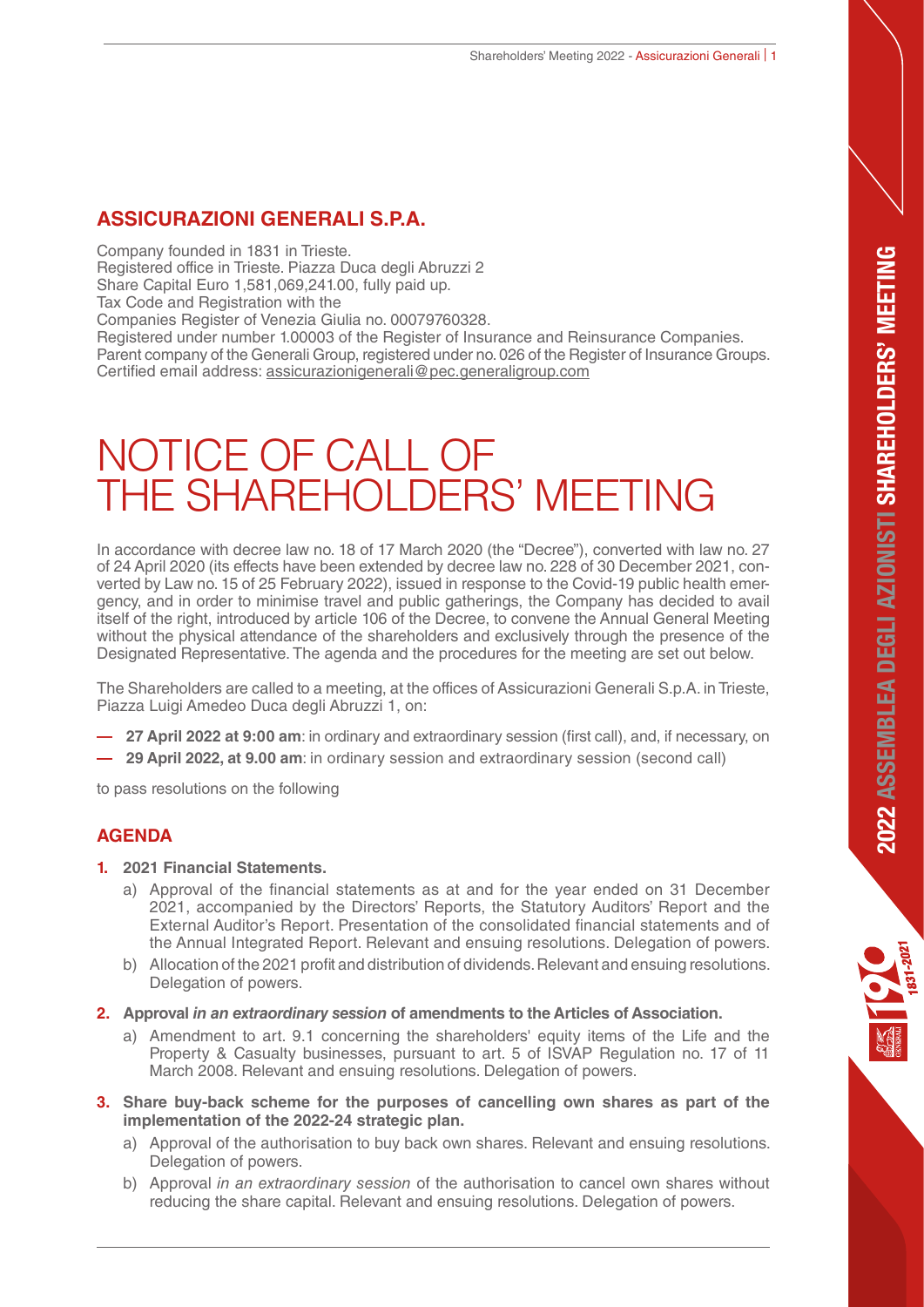# **ASSICURAZIONI GENERALI S.P.A.**

Company founded in 1831 in Trieste.

Registered office in Trieste. Piazza Duca degli Abruzzi 2

Share Capital Euro 1,581,069,241.00, fully paid up.

Tax Code and Registration with the

Companies Register of Venezia Giulia no. 00079760328.

Registered under number 1.00003 of the Register of Insurance and Reinsurance Companies. Parent company of the Generali Group, registered under no. 026 of the Register of Insurance Groups. Certified email address: assicurazionigenerali@pec.generaligroup.com

# NOTICE OF CALL OF THE SHAREHOLDERS' MEETING

In accordance with decree law no. 18 of 17 March 2020 (the "Decree"), converted with law no. 27 of 24 April 2020 (its effects have been extended by decree law no. 228 of 30 December 2021, converted by Law no. 15 of 25 February 2022), issued in response to the Covid-19 public health emergency, and in order to minimise travel and public gatherings, the Company has decided to avail itself of the right, introduced by article 106 of the Decree, to convene the Annual General Meeting without the physical attendance of the shareholders and exclusively through the presence of the Designated Representative. The agenda and the procedures for the meeting are set out below.

The Shareholders are called to a meeting, at the offices of Assicurazioni Generali S.p.A. in Trieste, Piazza Luigi Amedeo Duca degli Abruzzi 1, on:

- **27 April 2022 at 9:00 am**: in ordinary and extraordinary session (first call), and, if necessary, on
- **29 April 2022, at 9.00 am**: in ordinary session and extraordinary session (second call)

to pass resolutions on the following

# **AGENDA**

#### **1. 2021 Financial Statements.**

- a) Approval of the financial statements as at and for the year ended on 31 December 2021, accompanied by the Directors' Reports, the Statutory Auditors' Report and the External Auditor's Report. Presentation of the consolidated financial statements and of the Annual Integrated Report. Relevant and ensuing resolutions. Delegation of powers.
- b) Allocation of the 2021 profit and distribution of dividends. Relevant and ensuing resolutions. Delegation of powers.
- **2. Approval** *in an extraordinary session* **of amendments to the Articles of Association.** 
	- a) Amendment to art. 9.1 concerning the shareholders' equity items of the Life and the Property & Casualty businesses, pursuant to art. 5 of ISVAP Regulation no. 17 of 11 March 2008. Relevant and ensuing resolutions. Delegation of powers.
- **3. Share buy-back scheme for the purposes of cancelling own shares as part of the implementation of the 2022-24 strategic plan.**
	- a) Approval of the authorisation to buy back own shares. Relevant and ensuing resolutions. Delegation of powers.
	- b) Approval in an extraordinary session of the authorisation to cancel own shares without reducing the share capital. Relevant and ensuing resolutions. Delegation of powers.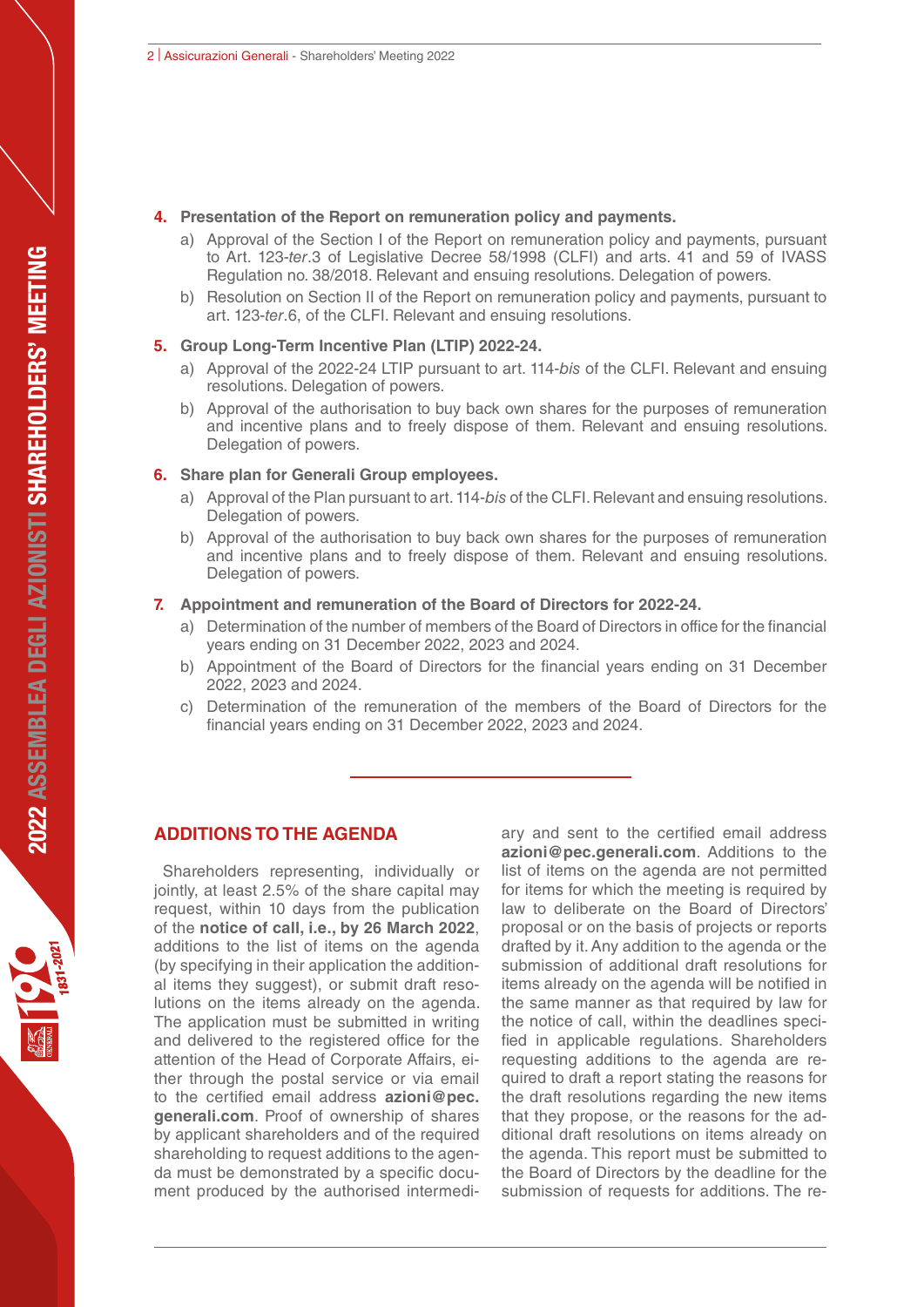#### **4. Presentation of the Report on remuneration policy and payments.**

- a) Approval of the Section I of the Report on remuneration policy and payments, pursuant to Art. 123-ter.3 of Legislative Decree 58/1998 (CLFI) and arts. 41 and 59 of IVASS Regulation no. 38/2018. Relevant and ensuing resolutions. Delegation of powers.
- b) Resolution on Section II of the Report on remuneration policy and payments, pursuant to art. 123-ter.6, of the CLFI. Relevant and ensuing resolutions.

#### **5. Group Long-Term Incentive Plan (LTIP) 2022-24.**

- a) Approval of the 2022-24 LTIP pursuant to art. 114-bis of the CLFI. Relevant and ensuing resolutions. Delegation of powers.
- b) Approval of the authorisation to buy back own shares for the purposes of remuneration and incentive plans and to freely dispose of them. Relevant and ensuing resolutions. Delegation of powers.

#### **6. Share plan for Generali Group employees.**

- a) Approval of the Plan pursuant to art. 114-bis of the CLFI. Relevant and ensuing resolutions. Delegation of powers.
- b) Approval of the authorisation to buy back own shares for the purposes of remuneration and incentive plans and to freely dispose of them. Relevant and ensuing resolutions. Delegation of powers.

#### **7. Appointment and remuneration of the Board of Directors for 2022-24.**

- a) Determination of the number of members of the Board of Directors in office for the financial years ending on 31 December 2022, 2023 and 2024.
- b) Appointment of the Board of Directors for the financial years ending on 31 December 2022, 2023 and 2024.
- c) Determination of the remuneration of the members of the Board of Directors for the financial years ending on 31 December 2022, 2023 and 2024.

## **ADDITIONS TO THE AGENDA**

Shareholders representing, individually or jointly, at least 2.5% of the share capital may request, within 10 days from the publication of the **notice of call, i.e., by 26 March 2022**, additions to the list of items on the agenda (by specifying in their application the additional items they suggest), or submit draft resolutions on the items already on the agenda. The application must be submitted in writing and delivered to the registered office for the attention of the Head of Corporate Affairs, either through the postal service or via email to the certified email address **azioni@pec. generali.com**. Proof of ownership of shares by applicant shareholders and of the required shareholding to request additions to the agenda must be demonstrated by a specific document produced by the authorised intermediary and sent to the certified email address **azioni@pec.generali.com**. Additions to the list of items on the agenda are not permitted for items for which the meeting is required by law to deliberate on the Board of Directors' proposal or on the basis of projects or reports drafted by it. Any addition to the agenda or the submission of additional draft resolutions for items already on the agenda will be notified in the same manner as that required by law for the notice of call, within the deadlines specified in applicable regulations. Shareholders requesting additions to the agenda are required to draft a report stating the reasons for the draft resolutions regarding the new items that they propose, or the reasons for the additional draft resolutions on items already on the agenda. This report must be submitted to the Board of Directors by the deadline for the submission of requests for additions. The re-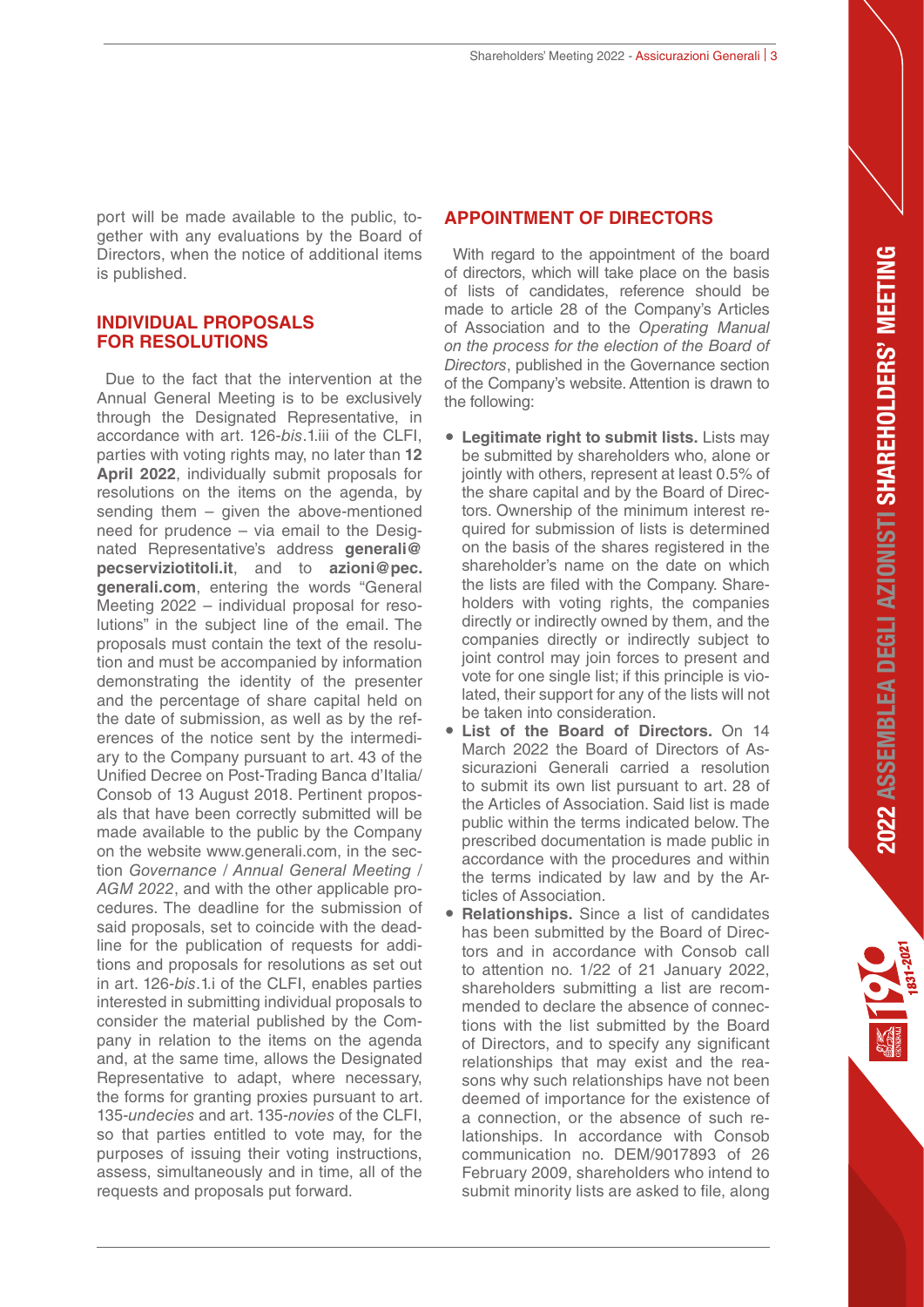port will be made available to the public, together with any evaluations by the Board of Directors, when the notice of additional items is published.

# **INDIVIDUAL PROPOSALS FOR RESOLUTIONS**

Due to the fact that the intervention at the Annual General Meeting is to be exclusively through the Designated Representative, in accordance with art. 126-bis.1.iii of the CLFI, parties with voting rights may, no later than **12 April 2022**, individually submit proposals for resolutions on the items on the agenda, by sending them – given the above-mentioned need for prudence – via email to the Designated Representative's address **generali@ pecserviziotitoli.it**, and to **azioni@pec. generali.com**, entering the words "General Meeting 2022 – individual proposal for resolutions" in the subject line of the email. The proposals must contain the text of the resolution and must be accompanied by information demonstrating the identity of the presenter and the percentage of share capital held on the date of submission, as well as by the references of the notice sent by the intermediary to the Company pursuant to art. 43 of the Unified Decree on Post-Trading Banca d'Italia/ Consob of 13 August 2018. Pertinent proposals that have been correctly submitted will be made available to the public by the Company on the website www.generali.com, in the section Governance / Annual General Meeting / AGM 2022, and with the other applicable procedures. The deadline for the submission of said proposals, set to coincide with the deadline for the publication of requests for additions and proposals for resolutions as set out in art. 126-bis.1.i of the CLFI, enables parties interested in submitting individual proposals to consider the material published by the Company in relation to the items on the agenda and, at the same time, allows the Designated Representative to adapt, where necessary, the forms for granting proxies pursuant to art. 135-undecies and art. 135-novies of the CLFL so that parties entitled to vote may, for the purposes of issuing their voting instructions, assess, simultaneously and in time, all of the requests and proposals put forward.

# **APPOINTMENT OF DIRECTORS**

With regard to the appointment of the board of directors, which will take place on the basis of lists of candidates, reference should be made to article 28 of the Company's Articles of Association and to the Operating Manual on the process for the election of the Board of Directors, published in the Governance section of the Company's website. Attention is drawn to the following:

- **Legitimate right to submit lists.** Lists may be submitted by shareholders who, alone or jointly with others, represent at least 0.5% of the share capital and by the Board of Directors. Ownership of the minimum interest required for submission of lists is determined on the basis of the shares registered in the shareholder's name on the date on which the lists are filed with the Company. Shareholders with voting rights, the companies directly or indirectly owned by them, and the companies directly or indirectly subject to joint control may join forces to present and vote for one single list; if this principle is violated, their support for any of the lists will not be taken into consideration.
- **List of the Board of Directors.** On 14 March 2022 the Board of Directors of Assicurazioni Generali carried a resolution to submit its own list pursuant to art. 28 of the Articles of Association. Said list is made public within the terms indicated below. The prescribed documentation is made public in accordance with the procedures and within the terms indicated by law and by the Articles of Association.
- **Relationships.** Since a list of candidates has been submitted by the Board of Directors and in accordance with Consob call to attention no. 1/22 of 21 January 2022, shareholders submitting a list are recommended to declare the absence of connections with the list submitted by the Board of Directors, and to specify any significant relationships that may exist and the reasons why such relationships have not been deemed of importance for the existence of a connection, or the absence of such relationships. In accordance with Consob communication no. DEM/9017893 of 26 February 2009, shareholders who intend to submit minority lists are asked to file, along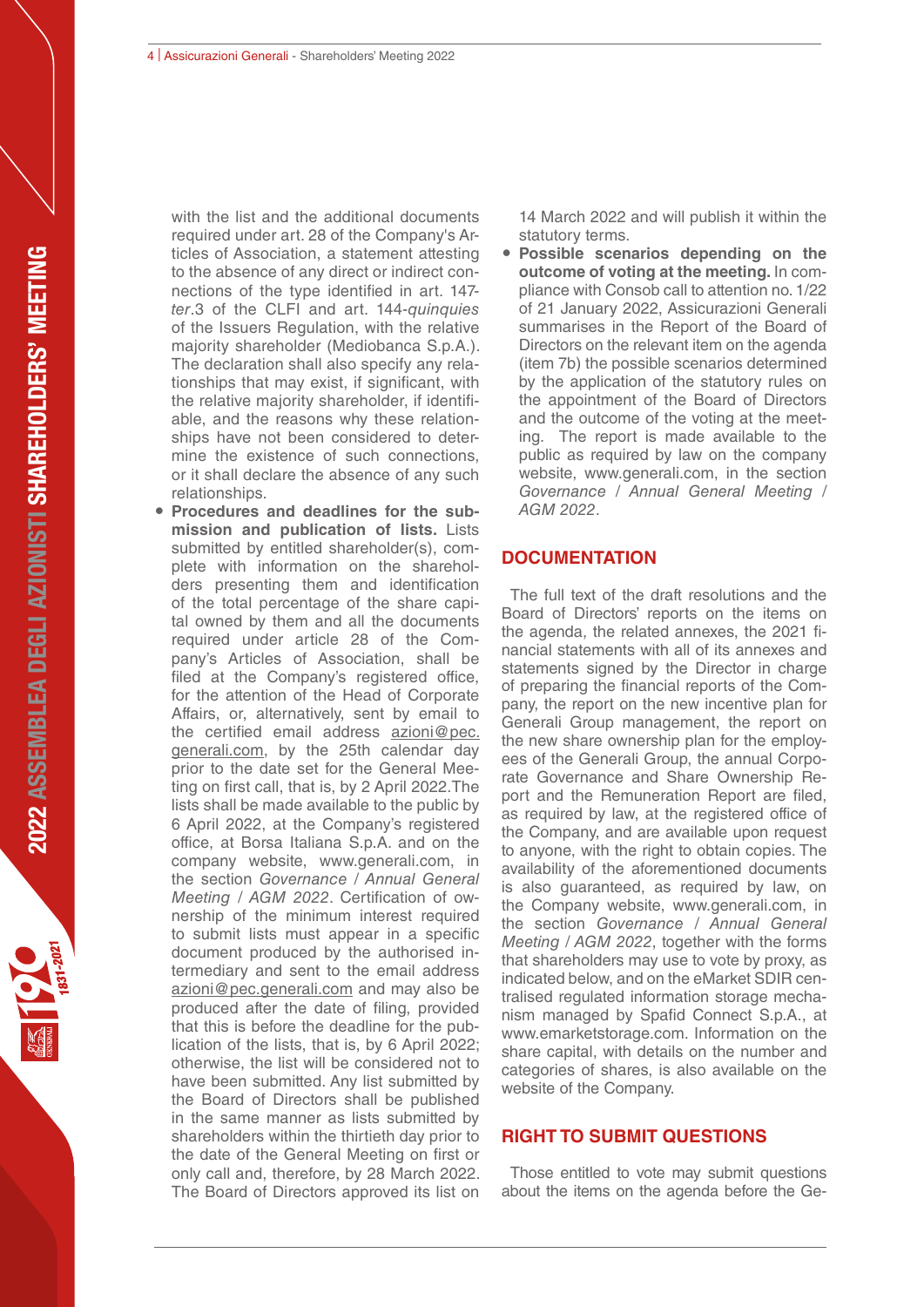4 | Assicurazioni Generali - Shareholders' Meeting 2022

with the list and the additional documents required under art. 28 of the Company's Articles of Association, a statement attesting to the absence of any direct or indirect connections of the type identified in art. 147 ter.3 of the CLFI and art. 144-*quinquies* of the Issuers Regulation, with the relative majority shareholder (Mediobanca S.p.A.). The declaration shall also specify any relationships that may exist, if significant, with the relative majority shareholder, if identifiable, and the reasons why these relationships have not been considered to determine the existence of such connections, or it shall declare the absence of any such relationships.

 **Procedures and deadlines for the submission and publication of lists.** Lists submitted by entitled shareholder(s), complete with information on the shareholders presenting them and identification of the total percentage of the share capital owned by them and all the documents required under article 28 of the Company's Articles of Association, shall be filed at the Company's registered office, for the attention of the Head of Corporate Affairs, or, alternatively, sent by email to the certified email address azioni@pec. generali.com, by the 25th calendar day prior to the date set for the General Meeting on first call, that is, by 2 April 2022.The lists shall be made available to the public by 6 April 2022, at the Company's registered office, at Borsa Italiana S.p.A. and on the company website, www.generali.com, in the section Governance / Annual General Meeting / AGM 2022. Certification of ownership of the minimum interest required to submit lists must appear in a specific document produced by the authorised intermediary and sent to the email address azioni@pec.generali.com and may also be produced after the date of filing, provided that this is before the deadline for the publication of the lists, that is, by 6 April 2022; otherwise, the list will be considered not to have been submitted. Any list submitted by the Board of Directors shall be published in the same manner as lists submitted by shareholders within the thirtieth day prior to the date of the General Meeting on first or only call and, therefore, by 28 March 2022. The Board of Directors approved its list on

14 March 2022 and will publish it within the statutory terms.

 **Possible scenarios depending on the outcome of voting at the meeting.** In compliance with Consob call to attention no. 1/22 of 21 January 2022, Assicurazioni Generali summarises in the Report of the Board of Directors on the relevant item on the agenda (item 7b) the possible scenarios determined by the application of the statutory rules on the appointment of the Board of Directors and the outcome of the voting at the meeting. The report is made available to the public as required by law on the company website, www.generali.com, in the section Governance / Annual General Meeting / AGM 2022.

# **DOCUMENTATION**

The full text of the draft resolutions and the Board of Directors' reports on the items on the agenda, the related annexes, the 2021 financial statements with all of its annexes and statements signed by the Director in charge of preparing the financial reports of the Company, the report on the new incentive plan for Generali Group management, the report on the new share ownership plan for the employees of the Generali Group, the annual Corporate Governance and Share Ownership Report and the Remuneration Report are filed, as required by law, at the registered office of the Company, and are available upon request to anyone, with the right to obtain copies. The availability of the aforementioned documents is also guaranteed, as required by law, on the Company website, www.generali.com, in the section Governance / Annual General Meeting / AGM 2022, together with the forms that shareholders may use to vote by proxy, as indicated below, and on the eMarket SDIR centralised regulated information storage mechanism managed by Spafid Connect S.p.A., at www.emarketstorage.com. Information on the share capital, with details on the number and categories of shares, is also available on the website of the Company.

#### **RIGHT TO SUBMIT QUESTIONS**

Those entitled to vote may submit questions about the items on the agenda before the Ge-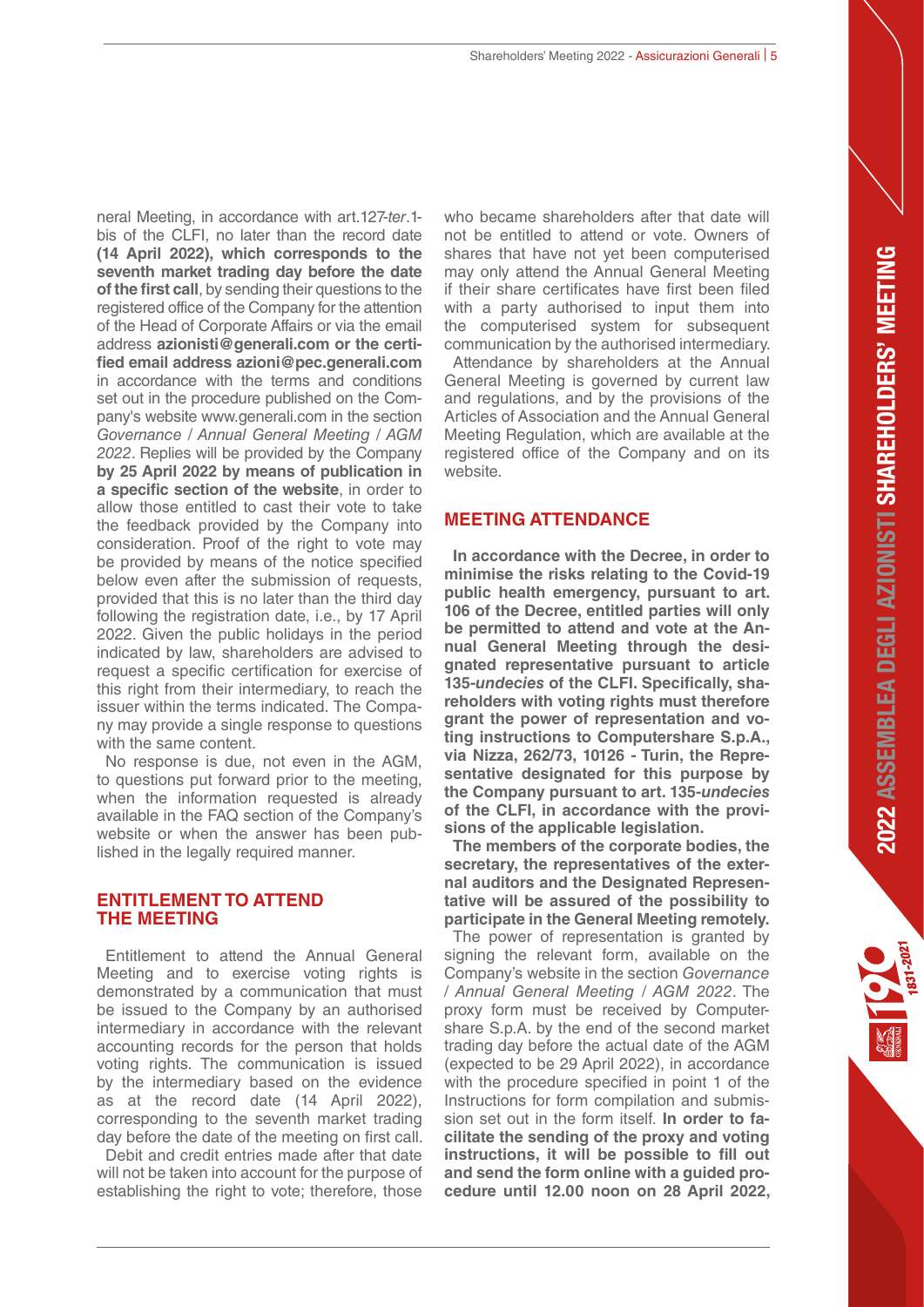neral Meeting, in accordance with art.127-ter.1 bis of the CLFI, no later than the record date **(14 April 2022), which corresponds to the seventh market trading day before the date of the first call**, by sending their questions to the registered office of the Company for the attention of the Head of Corporate Affairs or via the email address **azionisti@generali.com or the certified email address azioni@pec.generali.com** in accordance with the terms and conditions set out in the procedure published on the Company's website www.generali.com in the section Governance / Annual General Meeting / AGM 2022. Replies will be provided by the Company **by 25 April 2022 by means of publication in a specific section of the website**, in order to allow those entitled to cast their vote to take the feedback provided by the Company into consideration. Proof of the right to vote may be provided by means of the notice specified below even after the submission of requests, provided that this is no later than the third day following the registration date, i.e., by 17 April 2022. Given the public holidays in the period indicated by law, shareholders are advised to request a specific certification for exercise of this right from their intermediary, to reach the issuer within the terms indicated. The Company may provide a single response to questions with the same content.

No response is due, not even in the AGM, to questions put forward prior to the meeting, when the information requested is already available in the FAQ section of the Company's website or when the answer has been published in the legally required manner.

## **ENTITLEMENT TO ATTEND THE MEETING**

Entitlement to attend the Annual General Meeting and to exercise voting rights is demonstrated by a communication that must be issued to the Company by an authorised intermediary in accordance with the relevant accounting records for the person that holds voting rights. The communication is issued by the intermediary based on the evidence as at the record date (14 April 2022), corresponding to the seventh market trading day before the date of the meeting on first call.

Debit and credit entries made after that date will not be taken into account for the purpose of establishing the right to vote; therefore, those who became shareholders after that date will not be entitled to attend or vote. Owners of shares that have not yet been computerised may only attend the Annual General Meeting if their share certificates have first been filed with a party authorised to input them into the computerised system for subsequent communication by the authorised intermediary. Attendance by shareholders at the Annual General Meeting is governed by current law and regulations, and by the provisions of the Articles of Association and the Annual General Meeting Regulation, which are available at the registered office of the Company and on its website.

# **MEETING ATTENDANCE**

**In accordance with the Decree, in order to minimise the risks relating to the Covid-19 public health emergency, pursuant to art. 106 of the Decree, entitled parties will only be permitted to attend and vote at the Annual General Meeting through the designated representative pursuant to article 135-***undecies* **of the CLFI. Specifically, shareholders with voting rights must therefore grant the power of representation and voting instructions to Computershare S.p.A., via Nizza, 262/73, 10126 - Turin, the Representative designated for this purpose by the Company pursuant to art. 135-***undecies* **of the CLFI, in accordance with the provisions of the applicable legislation.**

**The members of the corporate bodies, the secretary, the representatives of the external auditors and the Designated Representative will be assured of the possibility to participate in the General Meeting remotely.**

The power of representation is granted by signing the relevant form, available on the Company's website in the section Governance / Annual General Meeting / AGM 2022. The proxy form must be received by Computershare S.p.A. by the end of the second market trading day before the actual date of the AGM (expected to be 29 April 2022), in accordance with the procedure specified in point 1 of the Instructions for form compilation and submission set out in the form itself. **In order to facilitate the sending of the proxy and voting instructions, it will be possible to fill out and send the form online with a guided procedure until 12.00 noon on 28 April 2022,**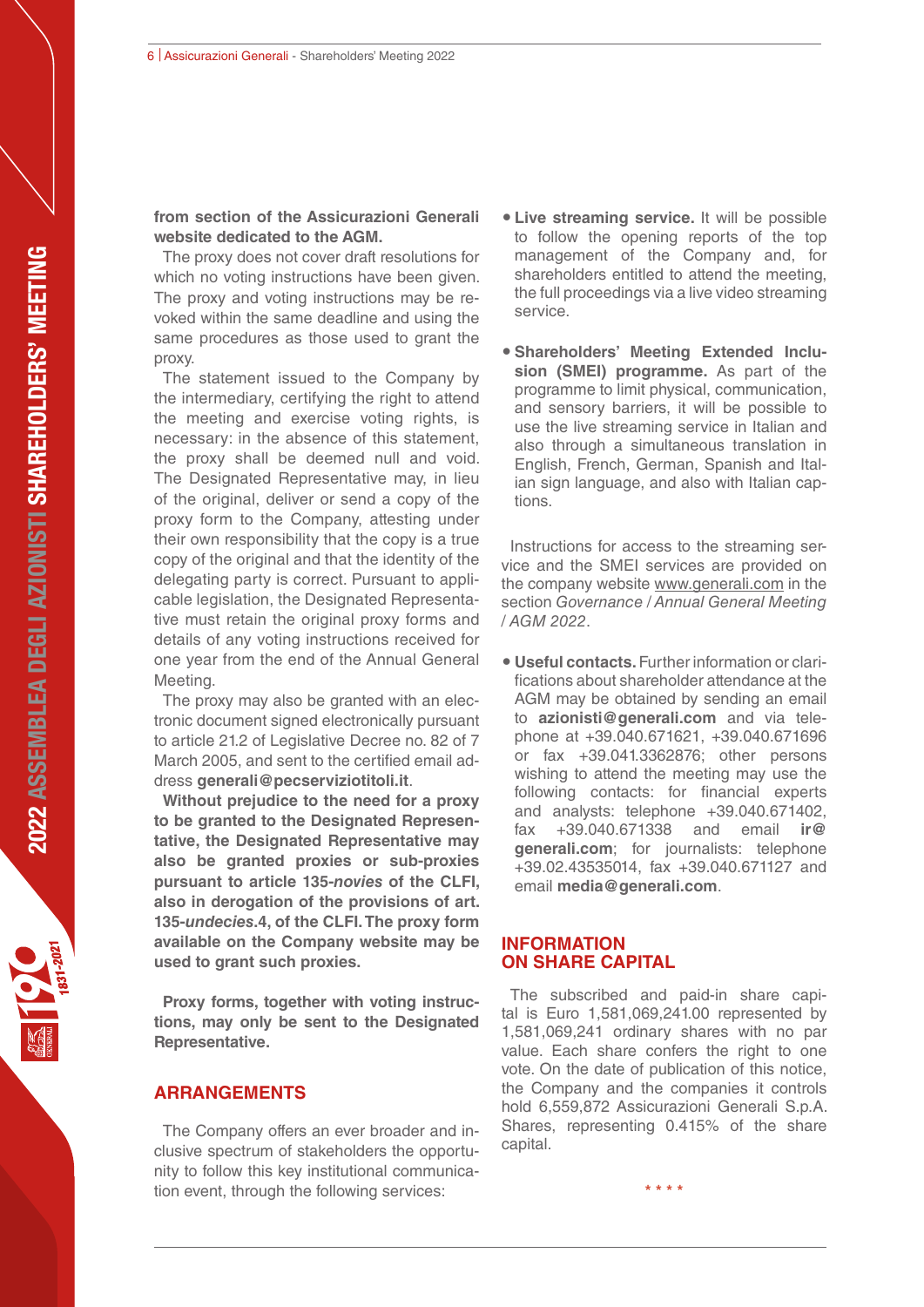# **from section of the Assicurazioni Generali website dedicated to the AGM.**

The proxy does not cover draft resolutions for which no voting instructions have been given. The proxy and voting instructions may be revoked within the same deadline and using the same procedures as those used to grant the proxy.

The statement issued to the Company by the intermediary, certifying the right to attend the meeting and exercise voting rights, is necessary: in the absence of this statement, the proxy shall be deemed null and void. The Designated Representative may, in lieu of the original, deliver or send a copy of the proxy form to the Company, attesting under their own responsibility that the copy is a true copy of the original and that the identity of the delegating party is correct. Pursuant to applicable legislation, the Designated Representative must retain the original proxy forms and details of any voting instructions received for one year from the end of the Annual General Meeting.

The proxy may also be granted with an electronic document signed electronically pursuant to article 21.2 of Legislative Decree no. 82 of 7 March 2005, and sent to the certified email address **generali@pecserviziotitoli.it**.

**Without prejudice to the need for a proxy to be granted to the Designated Representative, the Designated Representative may also be granted proxies or sub-proxies pursuant to article 135-***novies* **of the CLFI, also in derogation of the provisions of art. 135-***undecies***.4, of the CLFI. The proxy form available on the Company website may be used to grant such proxies.**

**Proxy forms, together with voting instructions, may only be sent to the Designated Representative.**

#### **ARRANGEMENTS**

The Company offers an ever broader and inclusive spectrum of stakeholders the opportunity to follow this key institutional communication event, through the following services:

- **Live streaming service.** It will be possible to follow the opening reports of the top management of the Company and, for shareholders entitled to attend the meeting, the full proceedings via a live video streaming service.
- **Shareholders' Meeting Extended Inclusion (SMEI) programme.** As part of the programme to limit physical, communication, and sensory barriers, it will be possible to use the live streaming service in Italian and also through a simultaneous translation in English, French, German, Spanish and Italian sign language, and also with Italian captions.

Instructions for access to the streaming service and the SMEI services are provided on the company website www.generali.com in the section Governance / Annual General Meeting / AGM 2022.

 **Useful contacts.** Further information or clarifications about shareholder attendance at the AGM may be obtained by sending an email to **azionisti@generali.com** and via telephone at +39.040.671621, +39.040.671696 or fax +39.041.3362876; other persons wishing to attend the meeting may use the following contacts: for financial experts and analysts: telephone +39.040.671402, fax +39.040.671338 and email **ir@ generali.com**; for journalists: telephone +39.02.43535014, fax +39.040.671127 and email **media@generali.com**.

#### **INFORMATION ON SHARE CAPITAL**

The subscribed and paid-in share capital is Euro 1,581,069,241.00 represented by 1,581,069,241 ordinary shares with no par value. Each share confers the right to one vote. On the date of publication of this notice, the Company and the companies it controls hold 6,559,872 Assicurazioni Generali S.p.A. Shares, representing 0.415% of the share capital.

**\* \* \* \***